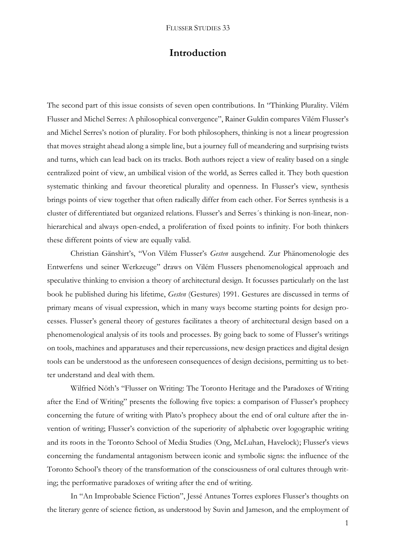## **Introduction**

The second part of this issue consists of seven open contributions. In "Thinking Plurality. Vilém Flusser and Michel Serres: A philosophical convergence", Rainer Guldin compares Vilém Flusser's and Michel Serres's notion of plurality. For both philosophers, thinking is not a linear progression that moves straight ahead along a simple line, but a journey full of meandering and surprising twists and turns, which can lead back on its tracks. Both authors reject a view of reality based on a single centralized point of view, an umbilical vision of the world, as Serres called it. They both question systematic thinking and favour theoretical plurality and openness. In Flusser's view, synthesis brings points of view together that often radically differ from each other. For Serres synthesis is a cluster of differentiated but organized relations. Flusser's and Serres´s thinking is non-linear, nonhierarchical and always open-ended, a proliferation of fixed points to infinity. For both thinkers these different points of view are equally valid.

Christian Gänshirt's, "Von Vilém Flusser's *Gesten* ausgehend. Zur Phänomenologie des Entwerfens und seiner Werkzeuge" draws on Vilém Flussers phenomenological approach and speculative thinking to envision a theory of architectural design. It focusses particularly on the last book he published during his lifetime, *Gesten* (Gestures) 1991. Gestures are discussed in terms of primary means of visual expression, which in many ways become starting points for design processes. Flusser's general theory of gestures facilitates a theory of architectural design based on a phenomenological analysis of its tools and processes. By going back to some of Flusser's writings on tools, machines and apparatuses and their repercussions, new design practices and digital design tools can be understood as the unforeseen consequences of design decisions, permitting us to better understand and deal with them.

Wilfried Nöth's "Flusser on Writing: The Toronto Heritage and the Paradoxes of Writing after the End of Writing" presents the following five topics: a comparison of Flusser's prophecy concerning the future of writing with Plato's prophecy about the end of oral culture after the invention of writing; Flusser's conviction of the superiority of alphabetic over logographic writing and its roots in the Toronto School of Media Studies (Ong, McLuhan, Havelock); Flusser's views concerning the fundamental antagonism between iconic and symbolic signs: the influence of the Toronto School's theory of the transformation of the consciousness of oral cultures through writing; the performative paradoxes of writing after the end of writing.

In "An Improbable Science Fiction", Jessé Antunes Torres explores Flusser's thoughts on the literary genre of science fiction, as understood by Suvin and Jameson, and the employment of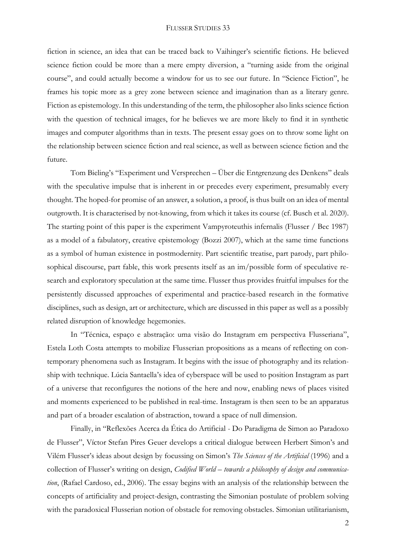## FLUSSER STUDIES 33

fiction in science, an idea that can be traced back to Vaihinger's scientific fictions. He believed science fiction could be more than a mere empty diversion, a "turning aside from the original course", and could actually become a window for us to see our future. In "Science Fiction", he frames his topic more as a grey zone between science and imagination than as a literary genre. Fiction as epistemology. In this understanding of the term, the philosopher also links science fiction with the question of technical images, for he believes we are more likely to find it in synthetic images and computer algorithms than in texts. The present essay goes on to throw some light on the relationship between science fiction and real science, as well as between science fiction and the future.

Tom Bieling's "Experiment und Versprechen – Über die Entgrenzung des Denkens" deals with the speculative impulse that is inherent in or precedes every experiment, presumably every thought. The hoped-for promise of an answer, a solution, a proof, is thus built on an idea of mental outgrowth. It is characterised by not-knowing, from which it takes its course (cf. Busch et al. 2020). The starting point of this paper is the experiment Vampyroteuthis infernalis (Flusser / Bec 1987) as a model of a fabulatory, creative epistemology (Bozzi 2007), which at the same time functions as a symbol of human existence in postmodernity. Part scientific treatise, part parody, part philosophical discourse, part fable, this work presents itself as an im/possible form of speculative research and exploratory speculation at the same time. Flusser thus provides fruitful impulses for the persistently discussed approaches of experimental and practice-based research in the formative disciplines, such as design, art or architecture, which are discussed in this paper as well as a possibly related disruption of knowledge hegemonies.

In "Técnica, espaço e abstração: uma visão do Instagram em perspectiva Flusseriana", Estela Loth Costa attempts to mobilize Flusserian propositions as a means of reflecting on contemporary phenomena such as Instagram. It begins with the issue of photography and its relationship with technique. Lúcia Santaella's idea of cyberspace will be used to position Instagram as part of a universe that reconfigures the notions of the here and now, enabling news of places visited and moments experienced to be published in real-time. Instagram is then seen to be an apparatus and part of a broader escalation of abstraction, toward a space of null dimension.

Finally, in "Reflexões Acerca da Ética do Artificial - Do Paradigma de Simon ao Paradoxo de Flusser", Víctor Stefan Pires Geuer develops a critical dialogue between Herbert Simon's and Vilém Flusser's ideas about design by focussing on Simon's *The Sciences of the Artificial* (1996) and a collection of Flusser's writing on design, *Codified World* – *towards a philosophy of design and communication*, (Rafael Cardoso, ed., 2006). The essay begins with an analysis of the relationship between the concepts of artificiality and project-design, contrasting the Simonian postulate of problem solving with the paradoxical Flusserian notion of obstacle for removing obstacles. Simonian utilitarianism,

2